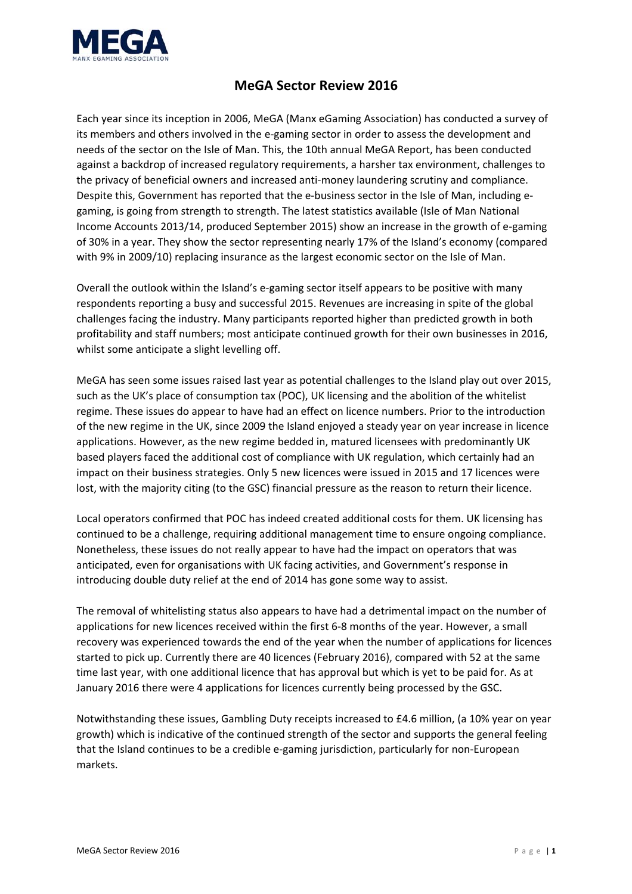

## **MeGA Sector Review 2016**

Each year since its inception in 2006, MeGA (Manx eGaming Association) has conducted a survey of its members and others involved in the e‐gaming sector in order to assess the development and needs of the sector on the Isle of Man. This, the 10th annual MeGA Report, has been conducted against a backdrop of increased regulatory requirements, a harsher tax environment, challenges to the privacy of beneficial owners and increased anti-money laundering scrutiny and compliance. Despite this, Government has reported that the e-business sector in the Isle of Man, including egaming, is going from strength to strength. The latest statistics available (Isle of Man National Income Accounts 2013/14, produced September 2015) show an increase in the growth of e‐gaming of 30% in a year. They show the sector representing nearly 17% of the Island's economy (compared with 9% in 2009/10) replacing insurance as the largest economic sector on the Isle of Man.

Overall the outlook within the Island's e‐gaming sector itself appears to be positive with many respondents reporting a busy and successful 2015. Revenues are increasing in spite of the global challenges facing the industry. Many participants reported higher than predicted growth in both profitability and staff numbers; most anticipate continued growth for their own businesses in 2016, whilst some anticipate a slight levelling off.

MeGA has seen some issues raised last year as potential challenges to the Island play out over 2015, such as the UK's place of consumption tax (POC), UK licensing and the abolition of the whitelist regime. These issues do appear to have had an effect on licence numbers. Prior to the introduction of the new regime in the UK, since 2009 the Island enjoyed a steady year on year increase in licence applications. However, as the new regime bedded in, matured licensees with predominantly UK based players faced the additional cost of compliance with UK regulation, which certainly had an impact on their business strategies. Only 5 new licences were issued in 2015 and 17 licences were lost, with the majority citing (to the GSC) financial pressure as the reason to return their licence.

Local operators confirmed that POC has indeed created additional costs for them. UK licensing has continued to be a challenge, requiring additional management time to ensure ongoing compliance. Nonetheless, these issues do not really appear to have had the impact on operators that was anticipated, even for organisations with UK facing activities, and Government's response in introducing double duty relief at the end of 2014 has gone some way to assist.

The removal of whitelisting status also appears to have had a detrimental impact on the number of applications for new licences received within the first 6‐8 months of the year. However, a small recovery was experienced towards the end of the year when the number of applications for licences started to pick up. Currently there are 40 licences (February 2016), compared with 52 at the same time last year, with one additional licence that has approval but which is yet to be paid for. As at January 2016 there were 4 applications for licences currently being processed by the GSC.

Notwithstanding these issues, Gambling Duty receipts increased to £4.6 million, (a 10% year on year growth) which is indicative of the continued strength of the sector and supports the general feeling that the Island continues to be a credible e‐gaming jurisdiction, particularly for non‐European markets.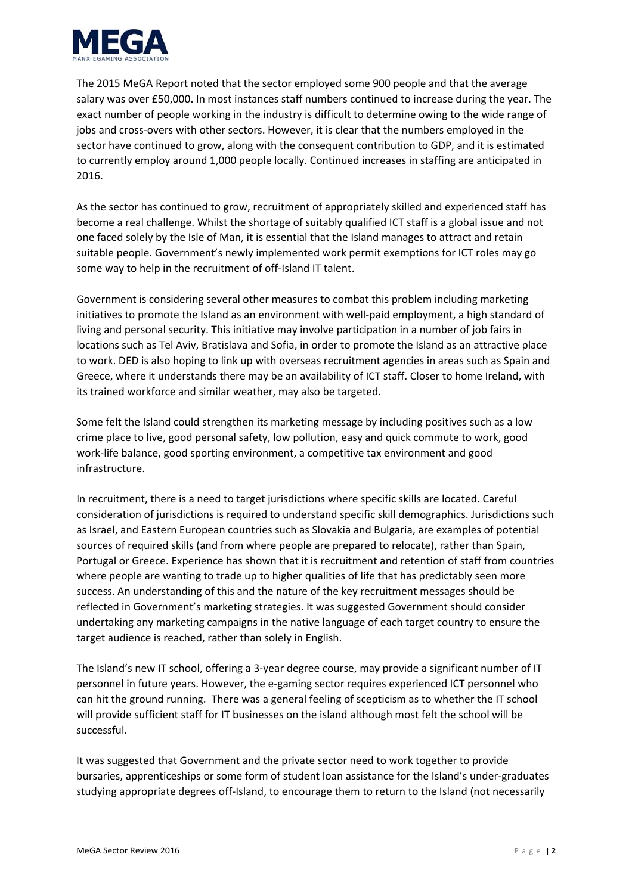

The 2015 MeGA Report noted that the sector employed some 900 people and that the average salary was over £50,000. In most instances staff numbers continued to increase during the year. The exact number of people working in the industry is difficult to determine owing to the wide range of jobs and cross‐overs with other sectors. However, it is clear that the numbers employed in the sector have continued to grow, along with the consequent contribution to GDP, and it is estimated to currently employ around 1,000 people locally. Continued increases in staffing are anticipated in 2016.

As the sector has continued to grow, recruitment of appropriately skilled and experienced staff has become a real challenge. Whilst the shortage of suitably qualified ICT staff is a global issue and not one faced solely by the Isle of Man, it is essential that the Island manages to attract and retain suitable people. Government's newly implemented work permit exemptions for ICT roles may go some way to help in the recruitment of off-Island IT talent.

Government is considering several other measures to combat this problem including marketing initiatives to promote the Island as an environment with well‐paid employment, a high standard of living and personal security. This initiative may involve participation in a number of job fairs in locations such as Tel Aviv, Bratislava and Sofia, in order to promote the Island as an attractive place to work. DED is also hoping to link up with overseas recruitment agencies in areas such as Spain and Greece, where it understands there may be an availability of ICT staff. Closer to home Ireland, with its trained workforce and similar weather, may also be targeted.

Some felt the Island could strengthen its marketing message by including positives such as a low crime place to live, good personal safety, low pollution, easy and quick commute to work, good work‐life balance, good sporting environment, a competitive tax environment and good infrastructure.

In recruitment, there is a need to target jurisdictions where specific skills are located. Careful consideration of jurisdictions is required to understand specific skill demographics. Jurisdictions such as Israel, and Eastern European countries such as Slovakia and Bulgaria, are examples of potential sources of required skills (and from where people are prepared to relocate), rather than Spain, Portugal or Greece. Experience has shown that it is recruitment and retention of staff from countries where people are wanting to trade up to higher qualities of life that has predictably seen more success. An understanding of this and the nature of the key recruitment messages should be reflected in Government's marketing strategies. It was suggested Government should consider undertaking any marketing campaigns in the native language of each target country to ensure the target audience is reached, rather than solely in English.

The Island's new IT school, offering a 3-year degree course, may provide a significant number of IT personnel in future years. However, the e‐gaming sector requires experienced ICT personnel who can hit the ground running. There was a general feeling of scepticism as to whether the IT school will provide sufficient staff for IT businesses on the island although most felt the school will be successful.

It was suggested that Government and the private sector need to work together to provide bursaries, apprenticeships or some form of student loan assistance for the Island's under‐graduates studying appropriate degrees off‐Island, to encourage them to return to the Island (not necessarily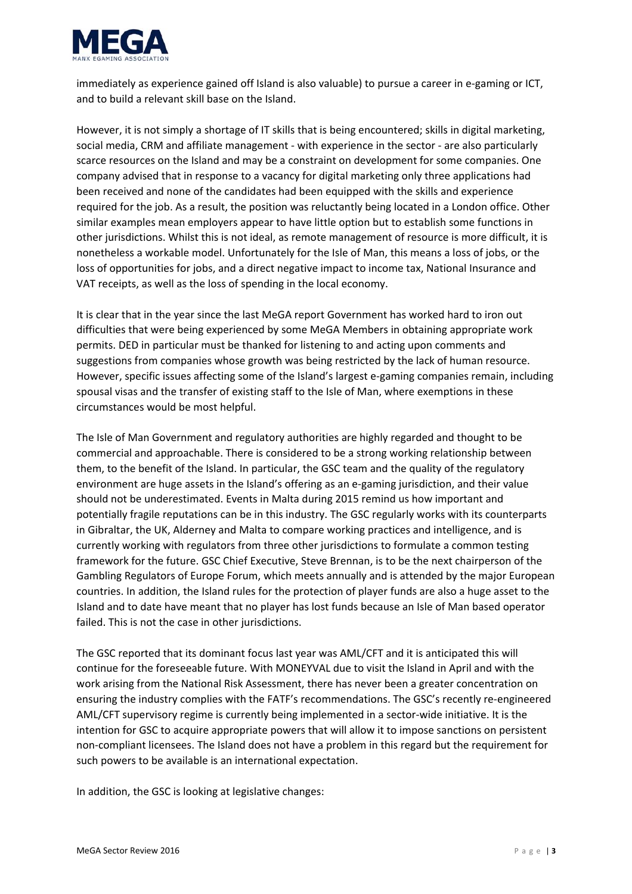

immediately as experience gained off Island is also valuable) to pursue a career in e‐gaming or ICT, and to build a relevant skill base on the Island.

However, it is not simply a shortage of IT skills that is being encountered; skills in digital marketing, social media, CRM and affiliate management - with experience in the sector - are also particularly scarce resources on the Island and may be a constraint on development for some companies. One company advised that in response to a vacancy for digital marketing only three applications had been received and none of the candidates had been equipped with the skills and experience required for the job. As a result, the position was reluctantly being located in a London office. Other similar examples mean employers appear to have little option but to establish some functions in other jurisdictions. Whilst this is not ideal, as remote management of resource is more difficult, it is nonetheless a workable model. Unfortunately for the Isle of Man, this means a loss of jobs, or the loss of opportunities for jobs, and a direct negative impact to income tax, National Insurance and VAT receipts, as well as the loss of spending in the local economy.

It is clear that in the year since the last MeGA report Government has worked hard to iron out difficulties that were being experienced by some MeGA Members in obtaining appropriate work permits. DED in particular must be thanked for listening to and acting upon comments and suggestions from companies whose growth was being restricted by the lack of human resource. However, specific issues affecting some of the Island's largest e‐gaming companies remain, including spousal visas and the transfer of existing staff to the Isle of Man, where exemptions in these circumstances would be most helpful.

The Isle of Man Government and regulatory authorities are highly regarded and thought to be commercial and approachable. There is considered to be a strong working relationship between them, to the benefit of the Island. In particular, the GSC team and the quality of the regulatory environment are huge assets in the Island's offering as an e‐gaming jurisdiction, and their value should not be underestimated. Events in Malta during 2015 remind us how important and potentially fragile reputations can be in this industry. The GSC regularly works with its counterparts in Gibraltar, the UK, Alderney and Malta to compare working practices and intelligence, and is currently working with regulators from three other jurisdictions to formulate a common testing framework for the future. GSC Chief Executive, Steve Brennan, is to be the next chairperson of the Gambling Regulators of Europe Forum, which meets annually and is attended by the major European countries. In addition, the Island rules for the protection of player funds are also a huge asset to the Island and to date have meant that no player has lost funds because an Isle of Man based operator failed. This is not the case in other jurisdictions.

The GSC reported that its dominant focus last year was AML/CFT and it is anticipated this will continue for the foreseeable future. With MONEYVAL due to visit the Island in April and with the work arising from the National Risk Assessment, there has never been a greater concentration on ensuring the industry complies with the FATF's recommendations. The GSC's recently re‐engineered AML/CFT supervisory regime is currently being implemented in a sector-wide initiative. It is the intention for GSC to acquire appropriate powers that will allow it to impose sanctions on persistent non‐compliant licensees. The Island does not have a problem in this regard but the requirement for such powers to be available is an international expectation.

In addition, the GSC is looking at legislative changes: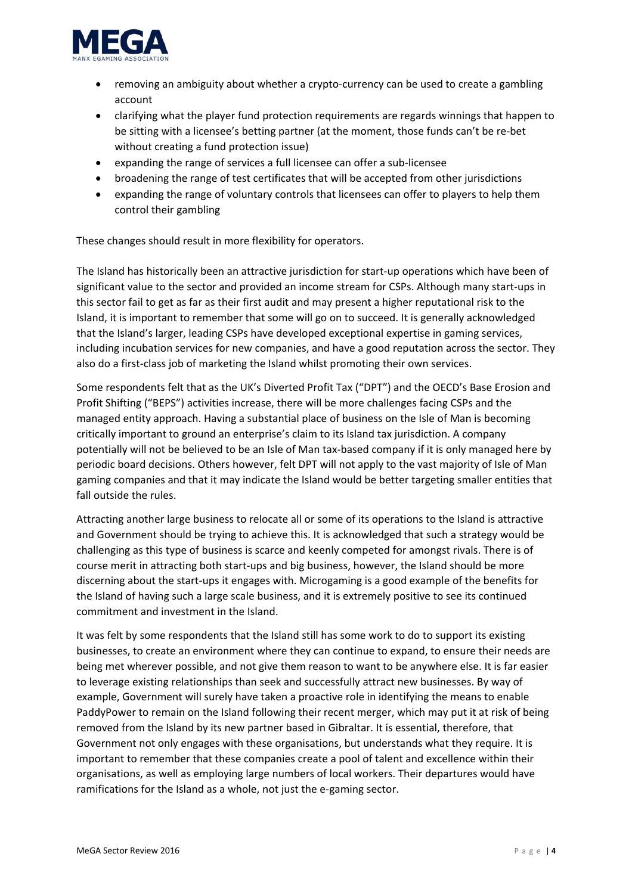

- removing an ambiguity about whether a crypto-currency can be used to create a gambling account
- clarifying what the player fund protection requirements are regards winnings that happen to be sitting with a licensee's betting partner (at the moment, those funds can't be re‐bet without creating a fund protection issue)
- expanding the range of services a full licensee can offer a sub‐licensee
- broadening the range of test certificates that will be accepted from other jurisdictions
- expanding the range of voluntary controls that licensees can offer to players to help them control their gambling

These changes should result in more flexibility for operators.

The Island has historically been an attractive jurisdiction for start-up operations which have been of significant value to the sector and provided an income stream for CSPs. Although many start‐ups in this sector fail to get as far as their first audit and may present a higher reputational risk to the Island, it is important to remember that some will go on to succeed. It is generally acknowledged that the Island's larger, leading CSPs have developed exceptional expertise in gaming services, including incubation services for new companies, and have a good reputation across the sector. They also do a first-class job of marketing the Island whilst promoting their own services.

Some respondents felt that as the UK's Diverted Profit Tax ("DPT") and the OECD's Base Erosion and Profit Shifting ("BEPS") activities increase, there will be more challenges facing CSPs and the managed entity approach. Having a substantial place of business on the Isle of Man is becoming critically important to ground an enterprise's claim to its Island tax jurisdiction. A company potentially will not be believed to be an Isle of Man tax‐based company if it is only managed here by periodic board decisions. Others however, felt DPT will not apply to the vast majority of Isle of Man gaming companies and that it may indicate the Island would be better targeting smaller entities that fall outside the rules.

Attracting another large business to relocate all or some of its operations to the Island is attractive and Government should be trying to achieve this. It is acknowledged that such a strategy would be challenging as this type of business is scarce and keenly competed for amongst rivals. There is of course merit in attracting both start‐ups and big business, however, the Island should be more discerning about the start‐ups it engages with. Microgaming is a good example of the benefits for the Island of having such a large scale business, and it is extremely positive to see its continued commitment and investment in the Island.

It was felt by some respondents that the Island still has some work to do to support its existing businesses, to create an environment where they can continue to expand, to ensure their needs are being met wherever possible, and not give them reason to want to be anywhere else. It is far easier to leverage existing relationships than seek and successfully attract new businesses. By way of example, Government will surely have taken a proactive role in identifying the means to enable PaddyPower to remain on the Island following their recent merger, which may put it at risk of being removed from the Island by its new partner based in Gibraltar. It is essential, therefore, that Government not only engages with these organisations, but understands what they require. It is important to remember that these companies create a pool of talent and excellence within their organisations, as well as employing large numbers of local workers. Their departures would have ramifications for the Island as a whole, not just the e-gaming sector.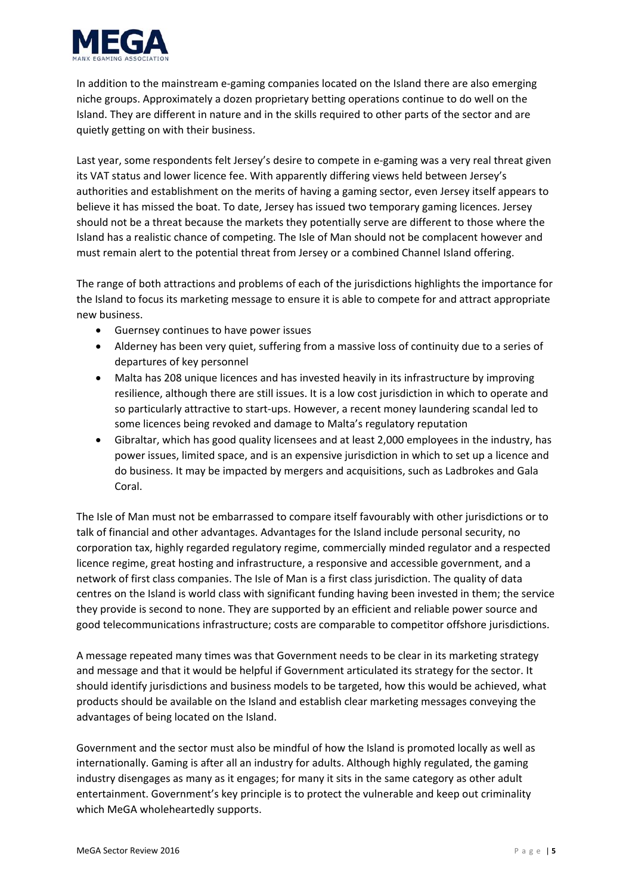

In addition to the mainstream e‐gaming companies located on the Island there are also emerging niche groups. Approximately a dozen proprietary betting operations continue to do well on the Island. They are different in nature and in the skills required to other parts of the sector and are quietly getting on with their business.

Last year, some respondents felt Jersey's desire to compete in e-gaming was a very real threat given its VAT status and lower licence fee. With apparently differing views held between Jersey's authorities and establishment on the merits of having a gaming sector, even Jersey itself appears to believe it has missed the boat. To date, Jersey has issued two temporary gaming licences. Jersey should not be a threat because the markets they potentially serve are different to those where the Island has a realistic chance of competing. The Isle of Man should not be complacent however and must remain alert to the potential threat from Jersey or a combined Channel Island offering.

The range of both attractions and problems of each of the jurisdictions highlights the importance for the Island to focus its marketing message to ensure it is able to compete for and attract appropriate new business.

- Guernsey continues to have power issues
- Alderney has been very quiet, suffering from a massive loss of continuity due to a series of departures of key personnel
- Malta has 208 unique licences and has invested heavily in its infrastructure by improving resilience, although there are still issues. It is a low cost jurisdiction in which to operate and so particularly attractive to start-ups. However, a recent money laundering scandal led to some licences being revoked and damage to Malta's regulatory reputation
- Gibraltar, which has good quality licensees and at least 2,000 employees in the industry, has power issues, limited space, and is an expensive jurisdiction in which to set up a licence and do business. It may be impacted by mergers and acquisitions, such as Ladbrokes and Gala Coral.

The Isle of Man must not be embarrassed to compare itself favourably with other jurisdictions or to talk of financial and other advantages. Advantages for the Island include personal security, no corporation tax, highly regarded regulatory regime, commercially minded regulator and a respected licence regime, great hosting and infrastructure, a responsive and accessible government, and a network of first class companies. The Isle of Man is a first class jurisdiction. The quality of data centres on the Island is world class with significant funding having been invested in them; the service they provide is second to none. They are supported by an efficient and reliable power source and good telecommunications infrastructure; costs are comparable to competitor offshore jurisdictions.

A message repeated many times was that Government needs to be clear in its marketing strategy and message and that it would be helpful if Government articulated its strategy for the sector. It should identify jurisdictions and business models to be targeted, how this would be achieved, what products should be available on the Island and establish clear marketing messages conveying the advantages of being located on the Island.

Government and the sector must also be mindful of how the Island is promoted locally as well as internationally. Gaming is after all an industry for adults. Although highly regulated, the gaming industry disengages as many as it engages; for many it sits in the same category as other adult entertainment. Government's key principle is to protect the vulnerable and keep out criminality which MeGA wholeheartedly supports.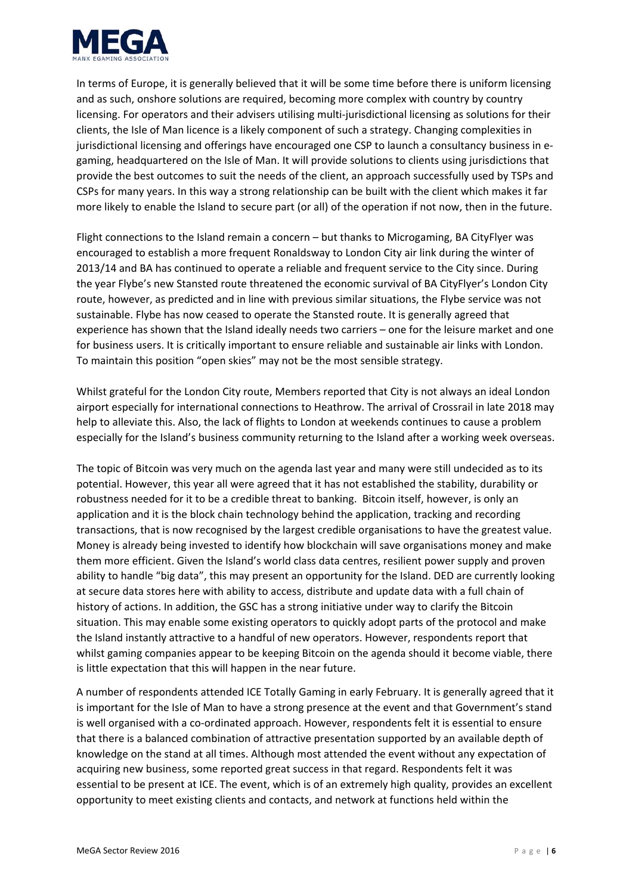

In terms of Europe, it is generally believed that it will be some time before there is uniform licensing and as such, onshore solutions are required, becoming more complex with country by country licensing. For operators and their advisers utilising multi‐jurisdictional licensing as solutions for their clients, the Isle of Man licence is a likely component of such a strategy. Changing complexities in jurisdictional licensing and offerings have encouraged one CSP to launch a consultancy business in egaming, headquartered on the Isle of Man. It will provide solutions to clients using jurisdictions that provide the best outcomes to suit the needs of the client, an approach successfully used by TSPs and CSPs for many years. In this way a strong relationship can be built with the client which makes it far more likely to enable the Island to secure part (or all) of the operation if not now, then in the future.

Flight connections to the Island remain a concern – but thanks to Microgaming, BA CityFlyer was encouraged to establish a more frequent Ronaldsway to London City air link during the winter of 2013/14 and BA has continued to operate a reliable and frequent service to the City since. During the year Flybe's new Stansted route threatened the economic survival of BA CityFlyer's London City route, however, as predicted and in line with previous similar situations, the Flybe service was not sustainable. Flybe has now ceased to operate the Stansted route. It is generally agreed that experience has shown that the Island ideally needs two carriers – one for the leisure market and one for business users. It is critically important to ensure reliable and sustainable air links with London. To maintain this position "open skies" may not be the most sensible strategy.

Whilst grateful for the London City route, Members reported that City is not always an ideal London airport especially for international connections to Heathrow. The arrival of Crossrail in late 2018 may help to alleviate this. Also, the lack of flights to London at weekends continues to cause a problem especially for the Island's business community returning to the Island after a working week overseas.

The topic of Bitcoin was very much on the agenda last year and many were still undecided as to its potential. However, this year all were agreed that it has not established the stability, durability or robustness needed for it to be a credible threat to banking. Bitcoin itself, however, is only an application and it is the block chain technology behind the application, tracking and recording transactions, that is now recognised by the largest credible organisations to have the greatest value. Money is already being invested to identify how blockchain will save organisations money and make them more efficient. Given the Island's world class data centres, resilient power supply and proven ability to handle "big data", this may present an opportunity for the Island. DED are currently looking at secure data stores here with ability to access, distribute and update data with a full chain of history of actions. In addition, the GSC has a strong initiative under way to clarify the Bitcoin situation. This may enable some existing operators to quickly adopt parts of the protocol and make the Island instantly attractive to a handful of new operators. However, respondents report that whilst gaming companies appear to be keeping Bitcoin on the agenda should it become viable, there is little expectation that this will happen in the near future.

A number of respondents attended ICE Totally Gaming in early February. It is generally agreed that it is important for the Isle of Man to have a strong presence at the event and that Government's stand is well organised with a co‐ordinated approach. However, respondents felt it is essential to ensure that there is a balanced combination of attractive presentation supported by an available depth of knowledge on the stand at all times. Although most attended the event without any expectation of acquiring new business, some reported great success in that regard. Respondents felt it was essential to be present at ICE. The event, which is of an extremely high quality, provides an excellent opportunity to meet existing clients and contacts, and network at functions held within the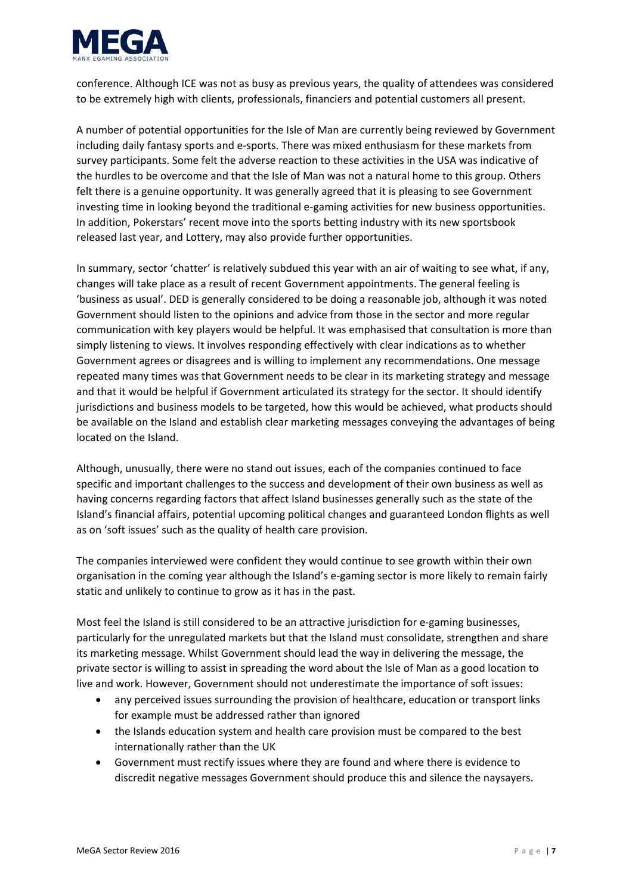

conference. Although ICE was not as busy as previous years, the quality of attendees was considered to be extremely high with clients, professionals, financiers and potential customers all present.

A number of potential opportunities for the Isle of Man are currently being reviewed by Government including daily fantasy sports and e‐sports. There was mixed enthusiasm for these markets from survey participants. Some felt the adverse reaction to these activities in the USA was indicative of the hurdles to be overcome and that the Isle of Man was not a natural home to this group. Others felt there is a genuine opportunity. It was generally agreed that it is pleasing to see Government investing time in looking beyond the traditional e‐gaming activities for new business opportunities. In addition, Pokerstars' recent move into the sports betting industry with its new sportsbook released last year, and Lottery, may also provide further opportunities.

In summary, sector 'chatter' is relatively subdued this year with an air of waiting to see what, if any, changes will take place as a result of recent Government appointments. The general feeling is 'business as usual'. DED is generally considered to be doing a reasonable job, although it was noted Government should listen to the opinions and advice from those in the sector and more regular communication with key players would be helpful. It was emphasised that consultation is more than simply listening to views. It involves responding effectively with clear indications as to whether Government agrees or disagrees and is willing to implement any recommendations. One message repeated many times was that Government needs to be clear in its marketing strategy and message and that it would be helpful if Government articulated its strategy for the sector. It should identify jurisdictions and business models to be targeted, how this would be achieved, what products should be available on the Island and establish clear marketing messages conveying the advantages of being located on the Island.

Although, unusually, there were no stand out issues, each of the companies continued to face specific and important challenges to the success and development of their own business as well as having concerns regarding factors that affect Island businesses generally such as the state of the Island's financial affairs, potential upcoming political changes and guaranteed London flights as well as on 'soft issues' such as the quality of health care provision.

The companies interviewed were confident they would continue to see growth within their own organisation in the coming year although the Island's e‐gaming sector is more likely to remain fairly static and unlikely to continue to grow as it has in the past.

Most feel the Island is still considered to be an attractive jurisdiction for e-gaming businesses, particularly for the unregulated markets but that the Island must consolidate, strengthen and share its marketing message. Whilst Government should lead the way in delivering the message, the private sector is willing to assist in spreading the word about the Isle of Man as a good location to live and work. However, Government should not underestimate the importance of soft issues:

- any perceived issues surrounding the provision of healthcare, education or transport links for example must be addressed rather than ignored
- the Islands education system and health care provision must be compared to the best internationally rather than the UK
- Government must rectify issues where they are found and where there is evidence to discredit negative messages Government should produce this and silence the naysayers.